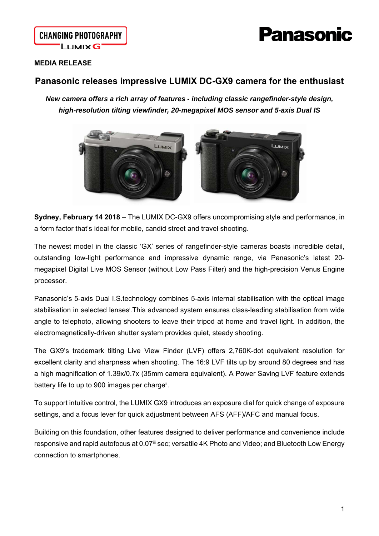# **anasonic**

### **MEDIA RELEASE**

## **Panasonic releases impressive LUMIX DC-GX9 camera for the enthusiast**

*New camera offers a rich array of features - including classic rangefinder-style design, high-resolution tilting viewfinder, 20-megapixel MOS sensor and 5-axis Dual IS* 



**Sydney, February 14 2018** – The LUMIX DC-GX9 offers uncompromising style and performance, in a form factor that's ideal for mobile, candid street and travel shooting.

The newest model in the classic 'GX' series of rangefinder-style cameras boasts incredible detail, outstanding low-light performance and impressive dynamic range, via Panasonic's latest 20 megapixel Digital Live MOS Sensor (without Low Pass Filter) and the high-precision Venus Engine processor.

Panasonic's 5-axis Dual I.S.technology combines 5-axis internal stabilisation with the optical image stabilisation in selected lenses<sup>i</sup>. This advanced system ensures class-leading stabilisation from wide angle to telephoto, allowing shooters to leave their tripod at home and travel light. In addition, the electromagnetically-driven shutter system provides quiet, steady shooting.

The GX9's trademark tilting Live View Finder (LVF) offers 2,760K-dot equivalent resolution for excellent clarity and sharpness when shooting. The 16:9 LVF tilts up by around 80 degrees and has a high magnification of 1.39x/0.7x (35mm camera equivalent). A Power Saving LVF feature extends battery life to up to 900 images per charge<sup>ii</sup>.

To support intuitive control, the LUMIX GX9 introduces an exposure dial for quick change of exposure settings, and a focus lever for quick adjustment between AFS (AFF)/AFC and manual focus.

Building on this foundation, other features designed to deliver performance and convenience include responsive and rapid autofocus at 0.07<sup>iii</sup> sec; versatile 4K Photo and Video; and Bluetooth Low Energy connection to smartphones.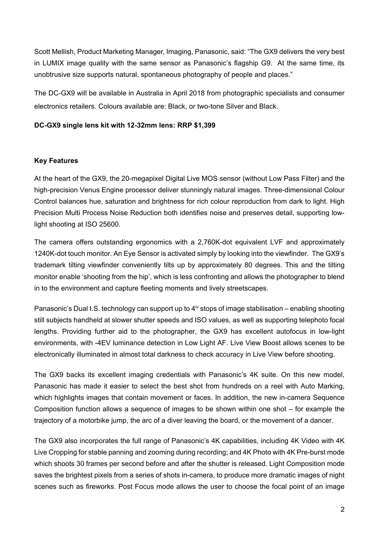Scott Mellish, Product Marketing Manager, Imaging, Panasonic, said: "The GX9 delivers the very best in LUMIX image quality with the same sensor as Panasonic's flagship G9. At the same time, its unobtrusive size supports natural, spontaneous photography of people and places."

The DC-GX9 will be available in Australia in April 2018 from photographic specialists and consumer electronics retailers. Colours available are: Black, or two-tone Silver and Black.

#### **DC-GX9 single lens kit with 12-32mm lens: RRP \$1,399**

#### **Key Features**

At the heart of the GX9, the 20-megapixel Digital Live MOS sensor (without Low Pass Filter) and the high-precision Venus Engine processor deliver stunningly natural images. Three-dimensional Colour Control balances hue, saturation and brightness for rich colour reproduction from dark to light. High Precision Multi Process Noise Reduction both identifies noise and preserves detail, supporting lowlight shooting at ISO 25600.

The camera offers outstanding ergonomics with a 2,760K-dot equivalent LVF and approximately 1240K-dot touch monitor. An Eye Sensor is activated simply by looking into the viewfinder. The GX9's trademark tilting viewfinder conveniently tilts up by approximately 80 degrees. This and the tilting monitor enable 'shooting from the hip', which is less confronting and allows the photographer to blend in to the environment and capture fleeting moments and lively streetscapes.

Panasonic's Dual I.S. technology can support up to  $4^{\text{iv}}$  stops of image stabilisation – enabling shooting still subjects handheld at slower shutter speeds and ISO values, as well as supporting telephoto focal lengths. Providing further aid to the photographer, the GX9 has excellent autofocus in low-light environments, with -4EV luminance detection in Low Light AF. Live View Boost allows scenes to be electronically illuminated in almost total darkness to check accuracy in Live View before shooting.

The GX9 backs its excellent imaging credentials with Panasonic's 4K suite. On this new model, Panasonic has made it easier to select the best shot from hundreds on a reel with Auto Marking, which highlights images that contain movement or faces. In addition, the new in-camera Sequence Composition function allows a sequence of images to be shown within one shot – for example the trajectory of a motorbike jump, the arc of a diver leaving the board, or the movement of a dancer.

The GX9 also incorporates the full range of Panasonic's 4K capabilities, including 4K Video with 4K Live Cropping for stable panning and zooming during recording; and 4K Photo with 4K Pre-burst mode which shoots 30 frames per second before and after the shutter is released. Light Composition mode saves the brightest pixels from a series of shots in-camera, to produce more dramatic images of night scenes such as fireworks. Post Focus mode allows the user to choose the focal point of an image